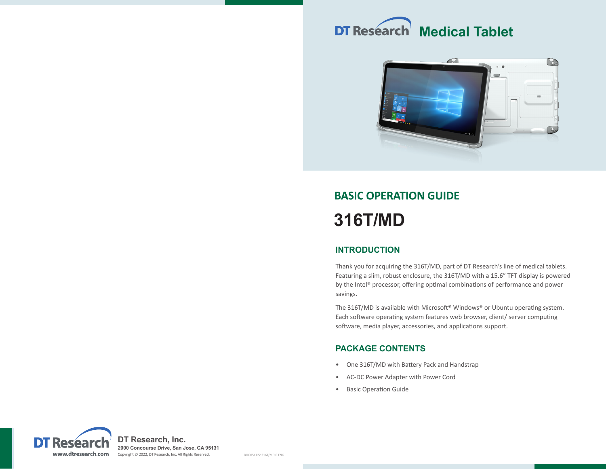



# **BASIC OPERATION GUIDE 316T/MD**

# **INTRODUCTION**

Thank you for acquiring the 316T/MD, part of DT Research's line of medical tablets. Featuring a slim, robust enclosure, the 316T/MD with a 15.6" TFT display is powered by the Intel® processor, offering optimal combinations of performance and power savings.

The 316T/MD is available with Microsoft® Windows® or Ubuntu operating system. Each software operating system features web browser, client/ server computing software, media player, accessories, and applications support.

# **PACKAGE CONTENTS**

- One 316T/MD with Battery Pack and Handstrap
- AC-DC Power Adapter with Power Cord
- Basic Operation Guide

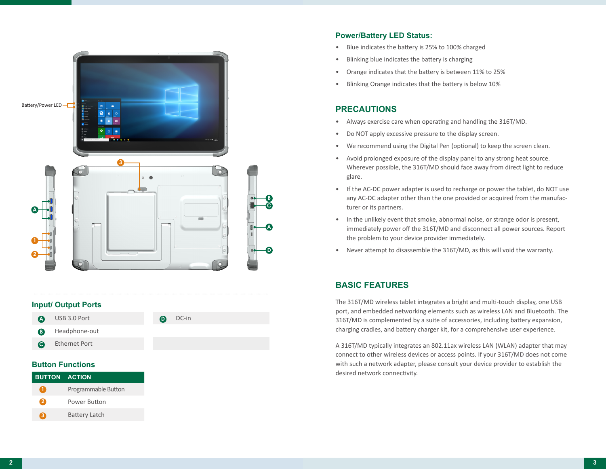

#### **Input/ Output Ports**

| $\boldsymbol{\Omega}$ | USB 3.0 Port  | $\mathbf \Omega$ | DC-in |
|-----------------------|---------------|------------------|-------|
| ®                     | Headphone-out |                  |       |
| $\bullet$             | Ethernet Port |                  |       |
|                       |               |                  |       |

## **Button Functions**

| <b>BUTTON ACTION</b> |                      |
|----------------------|----------------------|
| $\bullet$            | Programmable Button  |
| 2                    | Power Button         |
| ❀                    | <b>Battery Latch</b> |

# **Power/Battery LED Status:**

- Blue indicates the battery is 25% to 100% charged
- Blinking blue indicates the battery is charging
- Orange indicates that the battery is between 11% to 25%
- Blinking Orange indicates that the battery is below 10%

# **PRECAUTIONS**

- Always exercise care when operating and handling the 316T/MD.
- Do NOT apply excessive pressure to the display screen.
- We recommend using the Digital Pen (optional) to keep the screen clean.
- Avoid prolonged exposure of the display panel to any strong heat source. Wherever possible, the 316T/MD should face away from direct light to reduce glare.
- If the AC-DC power adapter is used to recharge or power the tablet, do NOT use any AC-DC adapter other than the one provided or acquired from the manufacturer or its partners.
- In the unlikely event that smoke, abnormal noise, or strange odor is present, immediately power off the 316T/MD and disconnect all power sources. Report the problem to your device provider immediately.
- Never attempt to disassemble the 316T/MD, as this will void the warranty.

# **BASIC FEATURES**

The 316T/MD wireless tablet integrates a bright and multi-touch display, one USB port, and embedded networking elements such as wireless LAN and Bluetooth. The 316T/MD is complemented by a suite of accessories, including battery expansion, charging cradles, and battery charger kit, for a comprehensive user experience.

A 316T/MD typically integrates an 802.11ax wireless LAN (WLAN) adapter that may connect to other wireless devices or access points. If your 316T/MD does not come with such a network adapter, please consult your device provider to establish the desired network connectivity.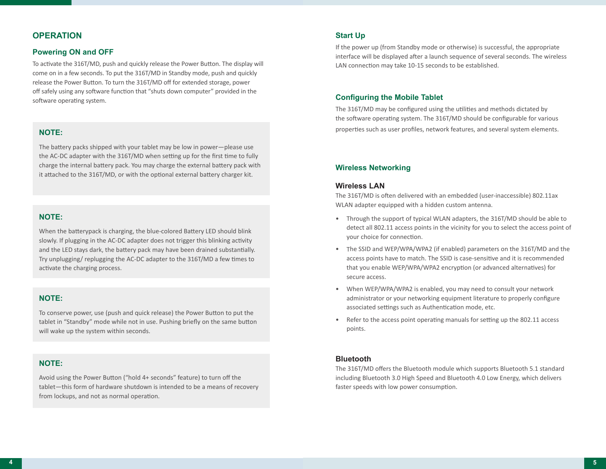# **OPERATION**

#### **Powering ON and OFF**

To activate the 316T/MD, push and quickly release the Power Button. The display will come on in a few seconds. To put the 316T/MD in Standby mode, push and quickly release the Power Button. To turn the 316T/MD off for extended storage, power off safely using any software function that "shuts down computer" provided in the software operating system.

# **NOTE:**

The battery packs shipped with your tablet may be low in power—please use the AC-DC adapter with the 316T/MD when setting up for the first time to fully charge the internal battery pack. You may charge the external battery pack with it attached to the 316T/MD, or with the optional external battery charger kit.

# **NOTE:**

When the batterypack is charging, the blue-colored Battery LED should blink slowly. If plugging in the AC-DC adapter does not trigger this blinking activity and the LED stays dark, the battery pack may have been drained substantially. Try unplugging/ replugging the AC-DC adapter to the 316T/MD a few times to activate the charging process.

## **NOTE:**

To conserve power, use (push and quick release) the Power Button to put the tablet in "Standby" mode while not in use. Pushing briefly on the same button will wake up the system within seconds.

# **NOTE:**

Avoid using the Power Button ("hold 4+ seconds" feature) to turn off the tablet—this form of hardware shutdown is intended to be a means of recovery from lockups, and not as normal operation.

## **Start Up**

If the power up (from Standby mode or otherwise) is successful, the appropriate interface will be displayed after a launch sequence of several seconds. The wireless LAN connection may take 10-15 seconds to be established.

## **Configuring the Mobile Tablet**

The 316T/MD may be configured using the utilities and methods dictated by the software operating system. The 316T/MD should be configurable for various properties such as user profiles, network features, and several system elements.

# **Wireless Networking**

#### **Wireless LAN**

The 316T/MD is often delivered with an embedded (user-inaccessible) 802.11ax WLAN adapter equipped with a hidden custom antenna.

- Through the support of typical WLAN adapters, the 316T/MD should be able to detect all 802.11 access points in the vicinity for you to select the access point of your choice for connection.
- The SSID and WEP/WPA/WPA2 (if enabled) parameters on the 316T/MD and the access points have to match. The SSID is case-sensitive and it is recommended that you enable WEP/WPA/WPA2 encryption (or advanced alternatives) for secure access.
- When WEP/WPA/WPA2 is enabled, you may need to consult your network administrator or your networking equipment literature to properly configure associated settings such as Authentication mode, etc.
- Refer to the access point operating manuals for setting up the 802.11 access points.

## **Bluetooth**

The 316T/MD offers the Bluetooth module which supports Bluetooth 5.1 standard including Bluetooth 3.0 High Speed and Bluetooth 4.0 Low Energy, which delivers faster speeds with low power consumption.